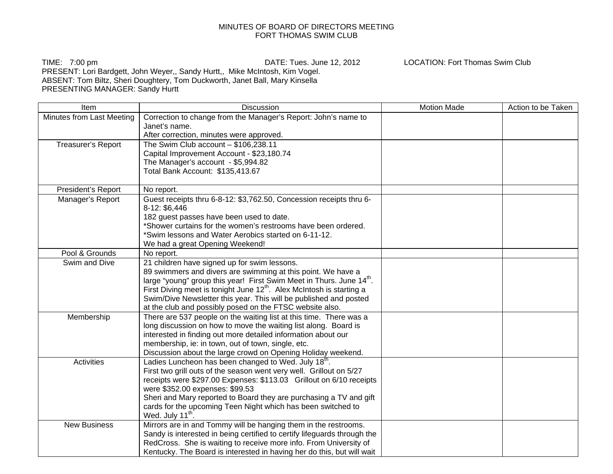## MINUTES OF BOARD OF DIRECTORS MEETING FORT THOMAS SWIM CLUB

TIME: 7:00 pm DATE: Tues. June 12, 2012 LOCATION: Fort Thomas Swim Club PRESENT: Lori Bardgett, John Weyer,, Sandy Hurtt,, Mike McIntosh, Kim Vogel. ABSENT: Tom Biltz, Sheri Doughtery, Tom Duckworth, Janet Ball, Mary Kinsella PRESENTING MANAGER: Sandy Hurtt

Item The Internal Motion Made Action to be Taken Number of the Discussion Contract Contract Motion Made Action to be Taken Minutes from Last Meeting | Correction to change from the Manager's Report: John's name to Janet's name.After correction, minutes were approved. Treasurer's Report  $\vert$  The Swim Club account – \$106,238.11 Capital Improvement Account - \$23,180.74 The Manager's account - \$5,994.82 Total Bank Account: \$135,413.67 President's Report No report. Manager's Report Guest receipts thru 6-8-12: \$3,762.50, Concession receipts thru 6-8-12: \$6,446 182 guest passes have been used to date. \*Shower curtains for the women's restrooms have been ordered. \*Swim lessons and Water Aerobics started on 6-11-12. We had a great Opening Weekend! Pool & Grounds | No report. Swim and Dive 21 children have signed up for swim lessons. 89 swimmers and divers are swimming at this point. We have a large "young" group this year! First Swim Meet in Thurs. June 14<sup>th</sup>. First Diving meet is tonight June 12<sup>th</sup>. Alex McIntosh is starting a Swim/Dive Newsletter this year. This will be published and posted at the club and possibly posed on the FTSC website also. Membership There are 537 people on the waiting list at this time. There was a long discussion on how to move the waiting list along. Board is interested in finding out more detailed information about our membership, ie: in town, out of town, single, etc. Discussion about the large crowd on Opening Holiday weekend. Activities  $\vert$  Ladies Luncheon has been changed to Wed. July 18<sup>th</sup>. First two grill outs of the season went very well. Grillout on 5/27 receipts were \$297.00 Expenses: \$113.03 Grillout on 6/10 receipts were \$352.00 expenses: \$99.53 Sheri and Mary reported to Board they are purchasing a TV and gift cards for the upcoming Teen Night which has been switched to Wed. July 11<sup>th</sup>. New Business Mirrors are in and Tommy will be hanging them in the restrooms. Sandy is interested in being certified to certify lifeguards through the RedCross. She is waiting to receive more info. From University of Kentucky. The Board is interested in having her do this, but will wait